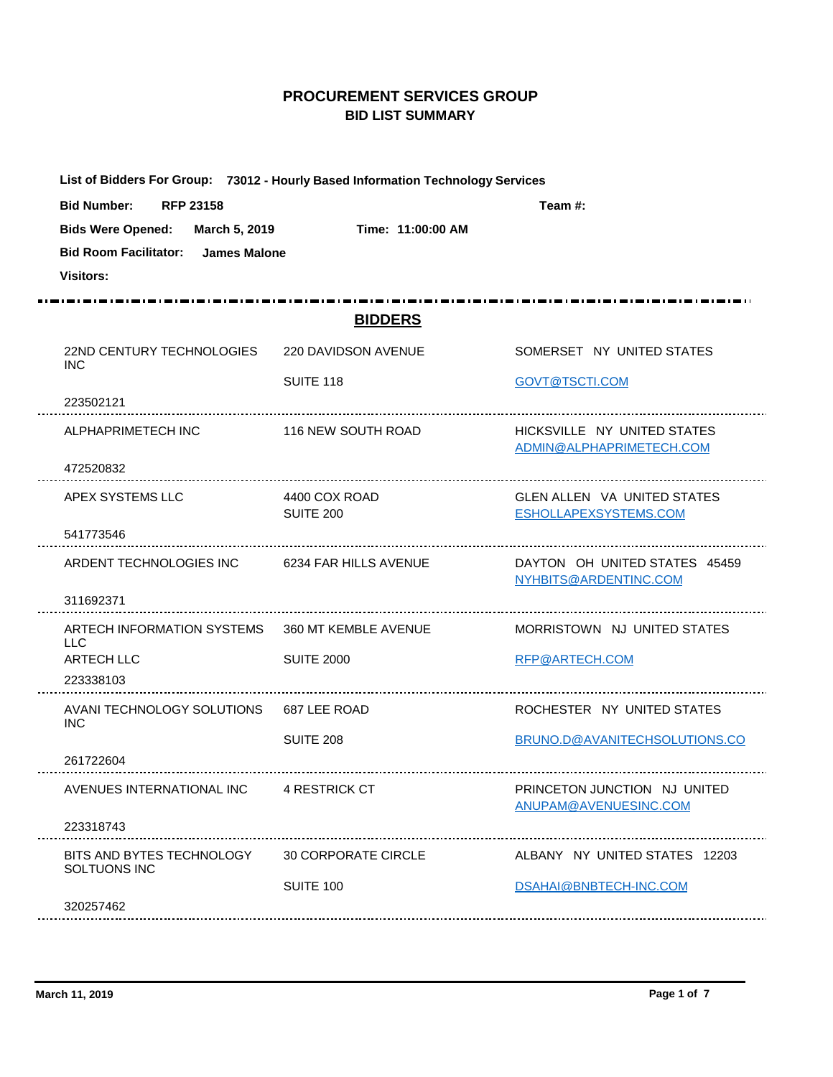## **PROCUREMENT SERVICES GROUP BID LIST SUMMARY**

| List of Bidders For Group: 73012 - Hourly Based Information Technology Services |                            |                                                             |
|---------------------------------------------------------------------------------|----------------------------|-------------------------------------------------------------|
| <b>RFP 23158</b><br><b>Bid Number:</b>                                          |                            | Team #:                                                     |
| <b>Bids Were Opened:</b><br>March 5, 2019                                       | Time: 11:00:00 AM          |                                                             |
| <b>Bid Room Facilitator:</b><br>James Malone                                    |                            |                                                             |
| <b>Visitors:</b>                                                                |                            |                                                             |
|                                                                                 |                            |                                                             |
|                                                                                 | <b>BIDDERS</b>             |                                                             |
| 22ND CENTURY TECHNOLOGIES<br><b>INC</b>                                         | 220 DAVIDSON AVENUE        | SOMERSET NY UNITED STATES                                   |
|                                                                                 | SUITE 118                  | GOVT@TSCTI.COM                                              |
| 223502121                                                                       |                            |                                                             |
| ALPHAPRIMETECH INC                                                              | 116 NEW SOUTH ROAD         | HICKSVILLE NY UNITED STATES<br>ADMIN@ALPHAPRIMETECH.COM     |
| 472520832                                                                       |                            |                                                             |
| APEX SYSTEMS LLC                                                                | 4400 COX ROAD<br>SUITE 200 | <b>GLEN ALLEN VA UNITED STATES</b><br>ESHOLLAPEXSYSTEMS.COM |
| 541773546                                                                       |                            |                                                             |
| ARDENT TECHNOLOGIES INC 6234 FAR HILLS AVENUE                                   |                            | DAYTON OH UNITED STATES 45459<br>NYHBITS@ARDENTINC.COM      |
| 311692371                                                                       |                            |                                                             |
| ARTECH INFORMATION SYSTEMS<br><b>LLC</b>                                        | 360 MT KEMBLE AVENUE       | MORRISTOWN NJ UNITED STATES                                 |
| <b>ARTECH LLC</b>                                                               | <b>SUITE 2000</b>          | RFP@ARTECH.COM                                              |
| 223338103                                                                       |                            |                                                             |
| AVANI TECHNOLOGY SOLUTIONS 687 LEE ROAD<br><b>INC</b>                           |                            | ROCHESTER NY UNITED STATES                                  |
|                                                                                 | <b>SUITE 208</b>           | BRUNO.D@AVANITECHSOLUTIONS.CO                               |
| 261722604                                                                       |                            |                                                             |
| AVENUES INTERNATIONAL INC                                                       | 4 RESTRICK CT              | PRINCETON JUNCTION NJ UNITED<br>ANUPAM@AVENUESINC.COM       |
| 223318743                                                                       |                            |                                                             |
| BITS AND BYTES TECHNOLOGY 30 CORPORATE CIRCLE<br>SOLTUONS INC                   |                            | ALBANY NY UNITED STATES 12203                               |
|                                                                                 | SUITE 100                  | DSAHAI@BNBTECH-INC.COM                                      |
| 320257462                                                                       |                            |                                                             |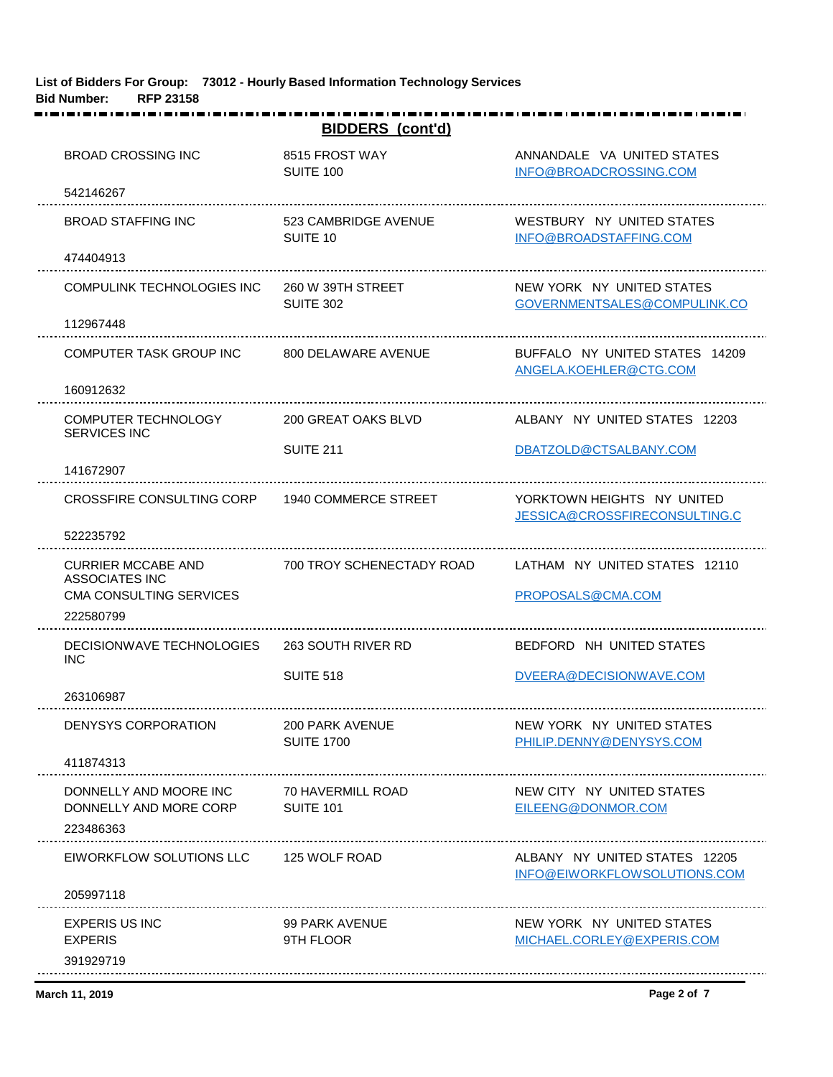| <b>BIDDERS</b> (cont'd)                                                 |                                       |                                                               |  |
|-------------------------------------------------------------------------|---------------------------------------|---------------------------------------------------------------|--|
| <b>BROAD CROSSING INC</b>                                               | 8515 FROST WAY<br>SUITE 100           | ANNANDALE VA UNITED STATES<br>INFO@BROADCROSSING.COM          |  |
| 542146267                                                               |                                       |                                                               |  |
| <b>BROAD STAFFING INC</b>                                               | 523 CAMBRIDGE AVENUE<br>SUITE 10      | WESTBURY NY UNITED STATES<br>INFO@BROADSTAFFING.COM           |  |
| 474404913                                                               |                                       |                                                               |  |
| COMPULINK TECHNOLOGIES INC                                              | 260 W 39TH STREET<br><b>SUITE 302</b> | NEW YORK NY UNITED STATES<br>GOVERNMENTSALES@COMPULINK.CO     |  |
| 112967448                                                               |                                       |                                                               |  |
| COMPUTER TASK GROUP INC                                                 | 800 DELAWARE AVENUE                   | BUFFALO NY UNITED STATES 14209<br>ANGELA.KOEHLER@CTG.COM      |  |
| 160912632                                                               |                                       |                                                               |  |
| <b>COMPUTER TECHNOLOGY</b><br><b>SERVICES INC</b>                       | 200 GREAT OAKS BLVD                   | ALBANY NY UNITED STATES 12203                                 |  |
| 141672907                                                               | <b>SUITE 211</b>                      | DBATZOLD@CTSALBANY.COM                                        |  |
| CROSSFIRE CONSULTING CORP                                               | 1940 COMMERCE STREET                  | YORKTOWN HEIGHTS NY UNITED<br>JESSICA@CROSSFIRECONSULTING.C   |  |
| 522235792                                                               |                                       |                                                               |  |
| <b>CURRIER MCCABE AND</b><br>ASSOCIATES INC                             | 700 TROY SCHENECTADY ROAD             | LATHAM NY UNITED STATES 12110                                 |  |
| <b>CMA CONSULTING SERVICES</b><br>222580799                             |                                       | PROPOSALS@CMA.COM                                             |  |
| DECISIONWAVE TECHNOLOGIES<br><b>INC</b>                                 | 263 SOUTH RIVER RD                    | BEDFORD NH UNITED STATES                                      |  |
| 263106987                                                               | SUITE 518                             | DVEERA@DECISIONWAVE.COM                                       |  |
| DENYSYS CORPORATION                                                     | 200 PARK AVENUE<br><b>SUITE 1700</b>  | NEW YORK NY UNITED STATES<br>PHILIP.DENNY@DENYSYS.COM         |  |
| 411874313                                                               |                                       |                                                               |  |
| DONNELLY AND MOORE INC<br>DONNELLY AND MORE CORP SUITE 101<br>223486363 | 70 HAVERMILL ROAD                     | NEW CITY NY UNITED STATES<br>EILEENG@DONMOR.COM               |  |
| EIWORKFLOW SOLUTIONS LLC 125 WOLF ROAD<br>205997118                     |                                       | ALBANY NY UNITED STATES 12205<br>INFO@EIWORKFLOWSOLUTIONS.COM |  |
| <b>EXPERIS US INC</b><br><b>EXPERIS</b>                                 | 99 PARK AVENUE<br>9TH FLOOR           | NEW YORK NY UNITED STATES<br>MICHAEL.CORLEY@EXPERIS.COM       |  |
| 391929719                                                               |                                       |                                                               |  |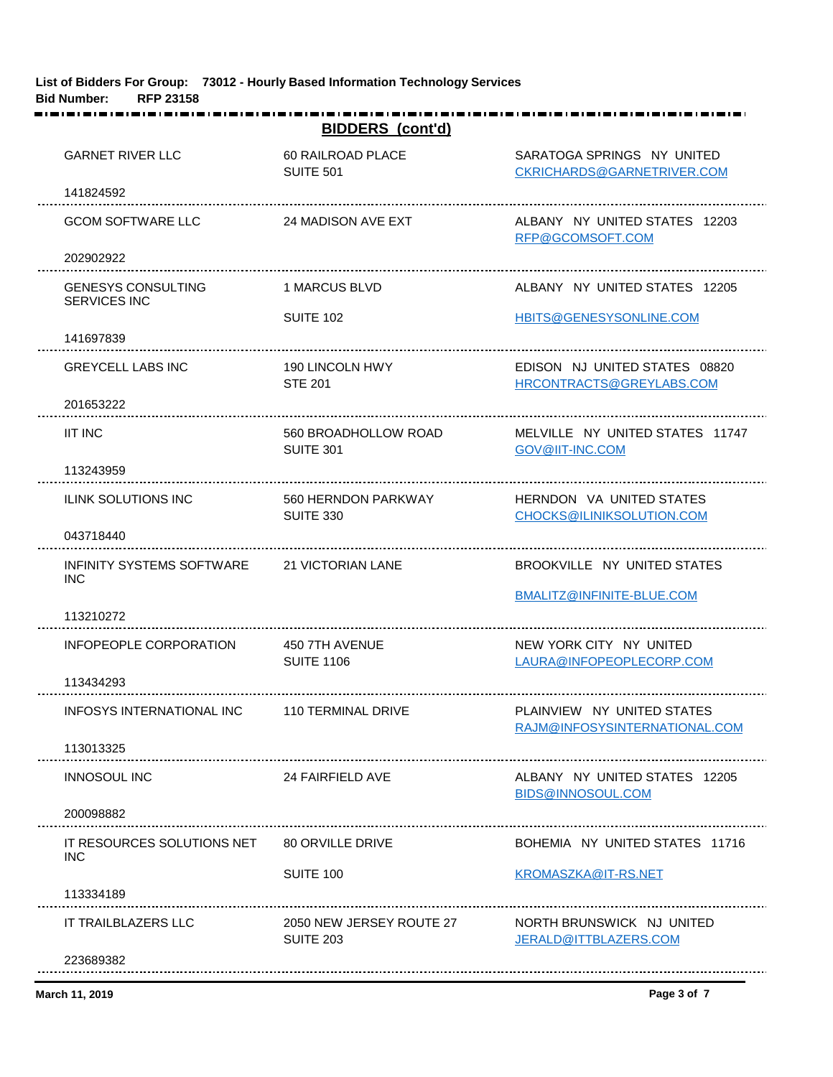| <b>BIDDERS</b> (cont'd)                                   |                                              |                                                             |
|-----------------------------------------------------------|----------------------------------------------|-------------------------------------------------------------|
| <b>GARNET RIVER LLC</b>                                   | 60 RAILROAD PLACE<br><b>SUITE 501</b>        | SARATOGA SPRINGS NY UNITED<br>CKRICHARDS@GARNETRIVER.COM    |
| 141824592                                                 |                                              |                                                             |
| <b>GCOM SOFTWARE LLC</b>                                  | 24 MADISON AVE EXT                           | ALBANY NY UNITED STATES 12203<br>RFP@GCOMSOFT.COM           |
| 202902922                                                 |                                              |                                                             |
| <b>GENESYS CONSULTING</b><br><b>SERVICES INC</b>          | 1 MARCUS BLVD                                | ALBANY NY UNITED STATES 12205                               |
| 141697839                                                 | <b>SUITE 102</b>                             | HBITS@GENESYSONLINE.COM                                     |
| <b>GREYCELL LABS INC</b>                                  | 190 LINCOLN HWY<br><b>STE 201</b>            | EDISON NJ UNITED STATES 08820<br>HRCONTRACTS@GREYLABS.COM   |
| 201653222                                                 |                                              |                                                             |
| <b>IIT INC</b>                                            | 560 BROADHOLLOW ROAD<br>SUITE 301            | MELVILLE NY UNITED STATES 11747<br>GOV@IIT-INC.COM          |
| 113243959                                                 |                                              |                                                             |
| ILINK SOLUTIONS INC                                       | 560 HERNDON PARKWAY<br><b>SUITE 330</b>      | HERNDON VA UNITED STATES<br>CHOCKS@ILINIKSOLUTION.COM       |
| 043718440                                                 |                                              |                                                             |
| INFINITY SYSTEMS SOFTWARE 21 VICTORIAN LANE<br><b>INC</b> |                                              | BROOKVILLE NY UNITED STATES                                 |
| 113210272                                                 |                                              | BMALITZ@INFINITE-BLUE.COM                                   |
| INFOPEOPLE CORPORATION                                    | 450 7TH AVENUE<br><b>SUITE 1106</b>          | NEW YORK CITY NY UNITED<br>LAURA@INFOPEOPLECORP.COM         |
| 113434293                                                 |                                              |                                                             |
| INFOSYS INTERNATIONAL INC                                 | 110 TERMINAL DRIVE                           | PLAINVIEW NY UNITED STATES<br>RAJM@INFOSYSINTERNATIONAL.COM |
| 113013325                                                 |                                              |                                                             |
| <b>INNOSOUL INC</b>                                       | 24 FAIRFIELD AVE                             | ALBANY NY UNITED STATES 12205<br>BIDS@INNOSOUL.COM          |
| 200098882                                                 |                                              |                                                             |
| IT RESOURCES SOLUTIONS NET<br><b>INC</b>                  | 80 ORVILLE DRIVE                             | BOHEMIA NY UNITED STATES 11716                              |
|                                                           | SUITE 100                                    | KROMASZKA@IT-RS.NET                                         |
| 113334189                                                 |                                              |                                                             |
| IT TRAILBLAZERS LLC                                       | 2050 NEW JERSEY ROUTE 27<br><b>SUITE 203</b> | NORTH BRUNSWICK NJ UNITED<br>JERALD@ITTBLAZERS.COM          |
| 223689382                                                 |                                              |                                                             |

**March 11, 2019 Page 3 of 7**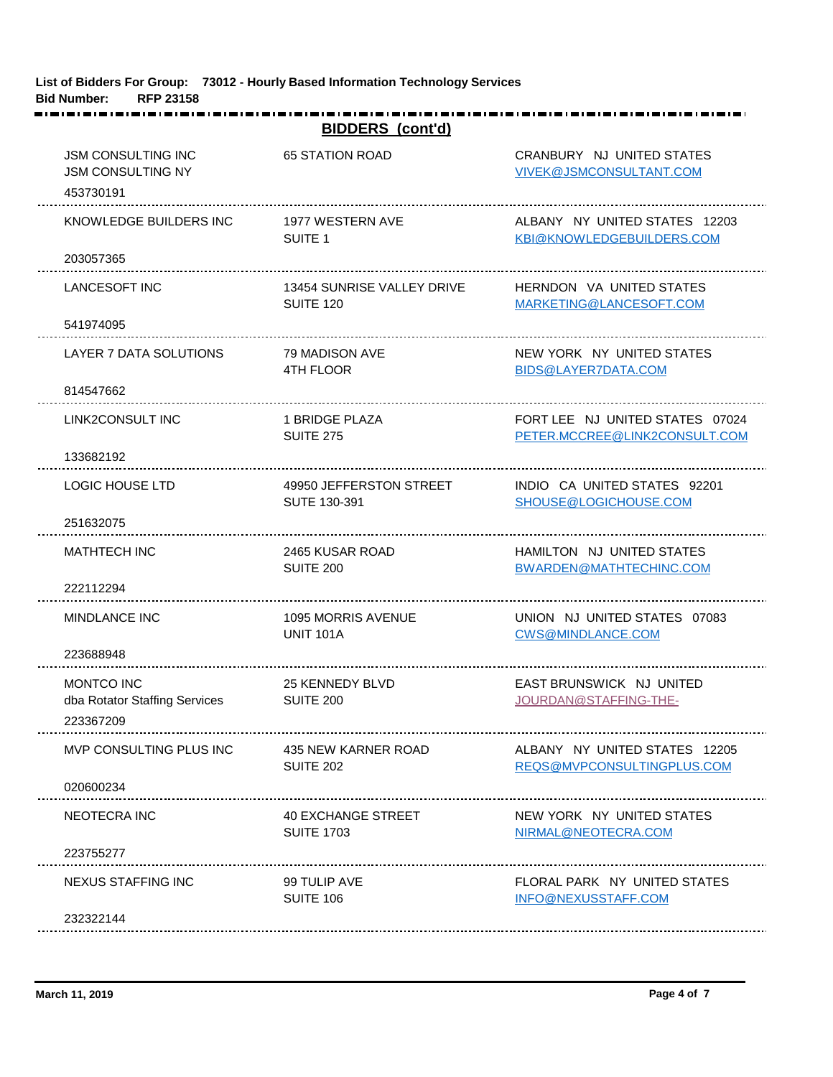|                                                                    | <b>BIDDERS</b> (cont'd)             |                                                      |
|--------------------------------------------------------------------|-------------------------------------|------------------------------------------------------|
| <b>JSM CONSULTING INC</b><br><b>JSM CONSULTING NY</b><br>453730191 | <b>65 STATION ROAD</b>              | CRANBURY NJ UNITED STATES<br>VIVEK@JSMCONSULTANT.COM |
| KNOWLEDGE BUILDERS INC                                             | 1977 WESTERN AVE                    | ALBANY NY UNITED STATES 12203                        |
| 203057365                                                          | SUITE <sub>1</sub>                  | KBI@KNOWLEDGEBUILDERS.COM                            |
| <b>LANCESOFT INC</b>                                               | 13454 SUNRISE VALLEY DRIVE          | HERNDON VA UNITED STATES                             |
| 541974095                                                          | SUITE 120                           | MARKETING@LANCESOFT.COM                              |
| LAYER 7 DATA SOLUTIONS                                             | 79 MADISON AVE                      | NEW YORK NY UNITED STATES                            |
| 814547662                                                          | <b>4TH FLOOR</b>                    | BIDS@LAYER7DATA.COM                                  |
| LINK2CONSULT INC                                                   | 1 BRIDGE PLAZA                      | FORT LEE NJ UNITED STATES 07024                      |
| 133682192                                                          | <b>SUITE 275</b>                    | PETER.MCCREE@LINK2CONSULT.COM                        |
| <b>LOGIC HOUSE LTD</b>                                             | 49950 JEFFERSTON STREET             | INDIO CA UNITED STATES 92201                         |
| 251632075                                                          | SUTE 130-391                        | SHOUSE@LOGICHOUSE.COM                                |
| <b>MATHTECH INC</b>                                                | 2465 KUSAR ROAD                     | HAMILTON NJ UNITED STATES                            |
| 222112294                                                          | SUITE 200                           | BWARDEN@MATHTECHINC.COM                              |
| <b>MINDLANCE INC</b>                                               | 1095 MORRIS AVENUE                  | UNION NJ UNITED STATES 07083                         |
| 223688948                                                          | <b>UNIT 101A</b>                    | CWS@MINDLANCE.COM                                    |
| MONTCO INC<br>dba Rotator Staffing Services<br>223367209           | <b>25 KENNEDY BLVD</b><br>SUITE 200 | EAST BRUNSWICK NJ UNITED<br>JOURDAN@STAFFING-THE-    |
| MVP CONSULTING PLUS INC                                            | 435 NEW KARNER ROAD                 | ALBANY NY UNITED STATES 12205                        |
| 020600234                                                          | <b>SUITE 202</b>                    | REQS@MVPCONSULTINGPLUS.COM                           |
| <b>NEOTECRA INC</b>                                                | 40 EXCHANGE STREET                  | NEW YORK NY UNITED STATES                            |
| 223755277                                                          | <b>SUITE 1703</b>                   | NIRMAL@NEOTECRA.COM                                  |
| NEXUS STAFFING INC                                                 | 99 TULIP AVE                        | FLORAL PARK NY UNITED STATES                         |
| 232322144                                                          | SUITE 106                           | INFO@NEXUSSTAFF.COM                                  |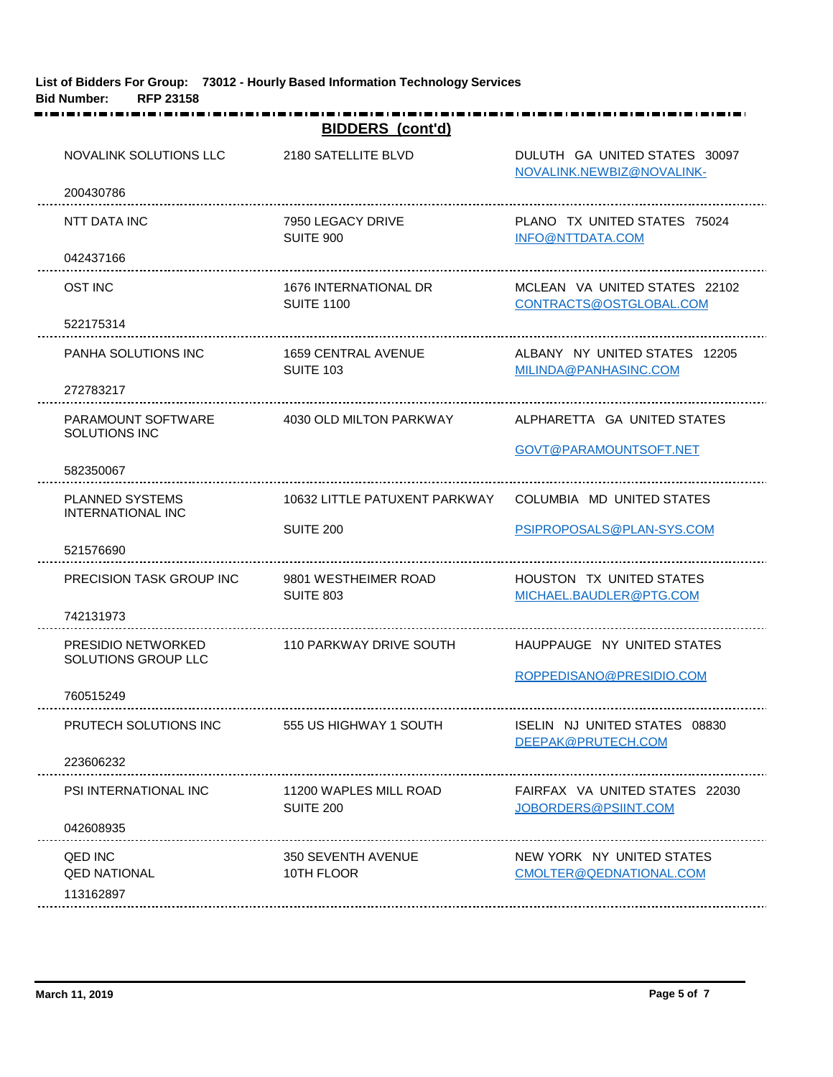| <b>BIDDERS</b> (cont'd)                            |                                            |                                                            |  |
|----------------------------------------------------|--------------------------------------------|------------------------------------------------------------|--|
| NOVALINK SOLUTIONS LLC                             | 2180 SATELLITE BLVD                        | DULUTH GA UNITED STATES 30097<br>NOVALINK.NEWBIZ@NOVALINK- |  |
| 200430786                                          |                                            |                                                            |  |
| NTT DATA INC                                       | 7950 LEGACY DRIVE<br>SUITE 900             | PLANO TX UNITED STATES 75024<br>INFO@NTTDATA.COM           |  |
| 042437166                                          |                                            |                                                            |  |
| <b>OST INC</b>                                     | 1676 INTERNATIONAL DR<br><b>SUITE 1100</b> | MCLEAN VA UNITED STATES 22102<br>CONTRACTS@OSTGLOBAL.COM   |  |
| 522175314                                          |                                            |                                                            |  |
| <b>PANHA SOLUTIONS INC</b>                         | 1659 CENTRAL AVENUE<br><b>SUITE 103</b>    | ALBANY NY UNITED STATES 12205<br>MILINDA@PANHASINC.COM     |  |
| 272783217                                          |                                            |                                                            |  |
| PARAMOUNT SOFTWARE<br><b>SOLUTIONS INC</b>         | 4030 OLD MILTON PARKWAY                    | ALPHARETTA GA UNITED STATES                                |  |
|                                                    |                                            | GOVT@PARAMOUNTSOFT.NET                                     |  |
| 582350067                                          |                                            |                                                            |  |
| <b>PLANNED SYSTEMS</b><br>INTERNATIONAL INC        | 10632 LITTLE PATUXENT PARKWAY              | COLUMBIA MD UNITED STATES                                  |  |
|                                                    | SUITE 200                                  | PSIPROPOSALS@PLAN-SYS.COM                                  |  |
| 521576690                                          |                                            |                                                            |  |
| PRECISION TASK GROUP INC                           | 9801 WESTHEIMER ROAD<br>SUITE 803          | <b>HOUSTON TX UNITED STATES</b><br>MICHAEL.BAUDLER@PTG.COM |  |
| 742131973                                          |                                            |                                                            |  |
| PRESIDIO NETWORKED<br>SOLUTIONS GROUP LLC          | 110 PARKWAY DRIVE SOUTH                    | HAUPPAUGE NY UNITED STATES                                 |  |
|                                                    |                                            | ROPPEDISANO@PRESIDIO.COM                                   |  |
| 760515249                                          |                                            |                                                            |  |
| PRUTECH SOLUTIONS INC                              | 555 US HIGHWAY 1 SOUTH                     | ISELIN NJ UNITED STATES 08830<br>DEEPAK@PRUTECH.COM        |  |
| 223606232                                          |                                            |                                                            |  |
| PSI INTERNATIONAL INC                              | 11200 WAPLES MILL ROAD<br><b>SUITE 200</b> | FAIRFAX VA UNITED STATES 22030<br>JOBORDERS@PSIINT.COM     |  |
| 042608935                                          |                                            |                                                            |  |
| <b>QED INC</b><br><b>QED NATIONAL</b><br>113162897 | 350 SEVENTH AVENUE<br>10TH FLOOR           | NEW YORK NY UNITED STATES<br>CMOLTER@QEDNATIONAL.COM       |  |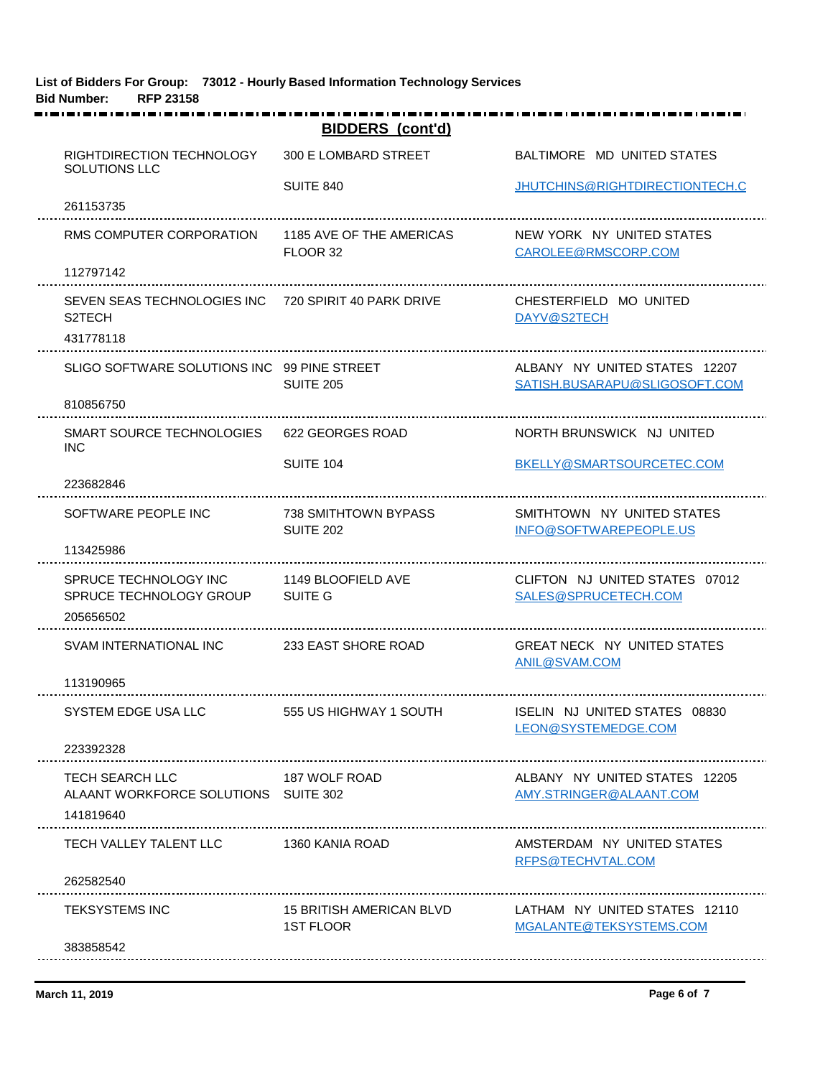|                                                                             | <b>BIDDERS</b> (cont'd)                      |                                                                |
|-----------------------------------------------------------------------------|----------------------------------------------|----------------------------------------------------------------|
| RIGHTDIRECTION TECHNOLOGY<br>SOLUTIONS LLC                                  | 300 E LOMBARD STREET                         | BALTIMORE MD UNITED STATES                                     |
|                                                                             | SUITE 840                                    | JHUTCHINS@RIGHTDIRECTIONTECH.C                                 |
| 261153735                                                                   |                                              |                                                                |
| RMS COMPUTER CORPORATION                                                    | 1185 AVE OF THE AMERICAS<br>FLOOR 32         | NEW YORK NY UNITED STATES<br>CAROLEE@RMSCORP.COM               |
| 112797142                                                                   |                                              |                                                                |
| SEVEN SEAS TECHNOLOGIES INC 720 SPIRIT 40 PARK DRIVE<br>S <sub>2</sub> TECH |                                              | CHESTERFIELD MO UNITED<br>DAYV@S2TECH                          |
| 431778118                                                                   |                                              |                                                                |
| SLIGO SOFTWARE SOLUTIONS INC 99 PINE STREET                                 | <b>SUITE 205</b>                             | ALBANY NY UNITED STATES 12207<br>SATISH.BUSARAPU@SLIGOSOFT.COM |
| 810856750                                                                   |                                              |                                                                |
| SMART SOURCE TECHNOLOGIES<br><b>INC</b>                                     | 622 GEORGES ROAD                             | NORTH BRUNSWICK NJ UNITED                                      |
|                                                                             | SUITE 104                                    | BKELLY@SMARTSOURCETEC.COM                                      |
| 223682846                                                                   |                                              |                                                                |
| SOFTWARE PEOPLE INC                                                         | 738 SMITHTOWN BYPASS<br><b>SUITE 202</b>     | SMITHTOWN NY UNITED STATES<br>INFO@SOFTWAREPEOPLE.US           |
| 113425986                                                                   |                                              |                                                                |
| SPRUCE TECHNOLOGY INC<br>SPRUCE TECHNOLOGY GROUP                            | 1149 BLOOFIELD AVE<br>SUITE G                | CLIFTON NJ UNITED STATES 07012<br>SALES@SPRUCETECH.COM         |
| 205656502                                                                   |                                              |                                                                |
| SVAM INTERNATIONAL INC                                                      | 233 EAST SHORE ROAD                          | <b>GREAT NECK NY UNITED STATES</b><br>ANIL@SVAM.COM            |
| 113190965                                                                   |                                              |                                                                |
| SYSTEM EDGE USA LLC                                                         | 555 US HIGHWAY 1 SOUTH                       | ISELIN NJ UNITED STATES 08830<br>LEON@SYSTEMEDGE.COM           |
| 223392328                                                                   |                                              |                                                                |
| <b>TECH SEARCH LLC</b><br>ALAANT WORKFORCE SOLUTIONS SUITE 302<br>141819640 | 187 WOLF ROAD                                | ALBANY NY UNITED STATES 12205<br>AMY.STRINGER@ALAANT.COM       |
|                                                                             |                                              |                                                                |
| TECH VALLEY TALENT LLC                                                      | 1360 KANIA ROAD                              | AMSTERDAM NY UNITED STATES<br>RFPS@TECHVTAL.COM                |
| 262582540                                                                   |                                              |                                                                |
| <b>TEKSYSTEMS INC</b>                                                       | <b>15 BRITISH AMERICAN BLVD</b><br>1ST FLOOR | LATHAM NY UNITED STATES 12110<br>MGALANTE@TEKSYSTEMS.COM       |
| 383858542                                                                   |                                              |                                                                |
|                                                                             |                                              |                                                                |